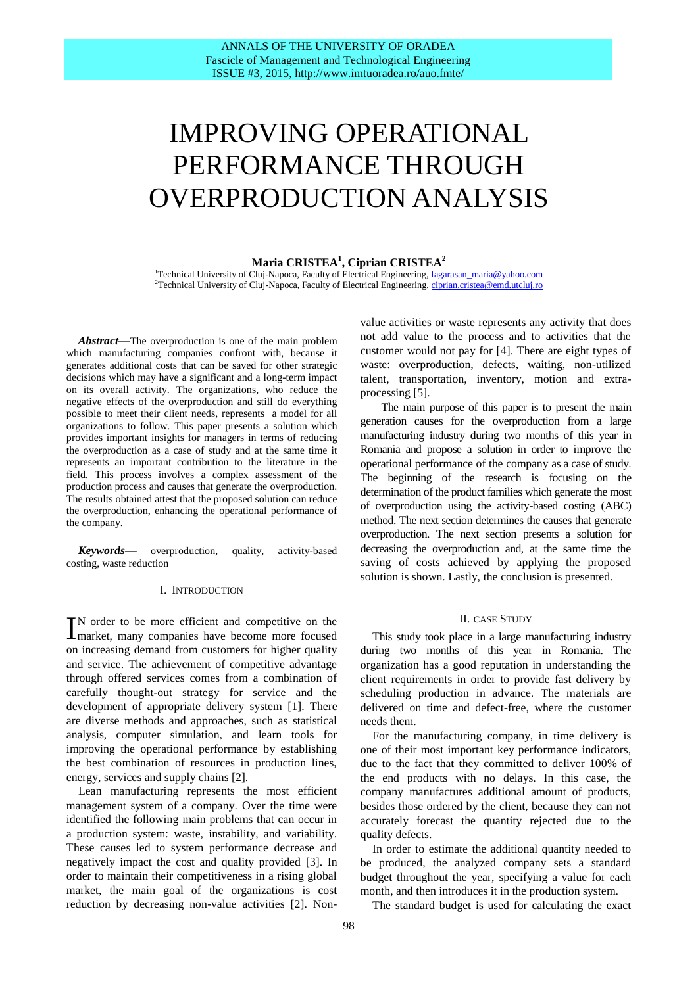# IMPROVING OPERATIONAL PERFORMANCE THROUGH OVERPRODUCTION ANALYSIS

## **Maria CRISTEA<sup>1</sup> , Ciprian CRISTEA<sup>2</sup>**

<sup>1</sup>Technical University of Cluj-Napoca, Faculty of Electrical Engineering, [fagarasan\\_maria@yahoo.com](mailto:fagarasan_maria@yahoo.com) <sup>2</sup>Technical University of Cluj-Napoca, Faculty of Electrical Engineering[, ciprian.cristea@emd.utcluj.ro](mailto:ciprian.cristea@emd.utcluj.ro)

*Abstract***—**The overproduction is one of the main problem which manufacturing companies confront with, because it generates additional costs that can be saved for other strategic decisions which may have a significant and a long-term impact on its overall activity. The organizations, who reduce the negative effects of the overproduction and still do everything possible to meet their client needs, represents a model for all organizations to follow. This paper presents a solution which provides important insights for managers in terms of reducing the overproduction as a case of study and at the same time it represents an important contribution to the literature in the field. This process involves a complex assessment of the production process and causes that generate the overproduction. The results obtained attest that the proposed solution can reduce the overproduction, enhancing the operational performance of the company.

*Keywords***—** overproduction, quality, activity-based costing, waste reduction

#### I. INTRODUCTION

N order to be more efficient and competitive on the IN order to be more efficient and competitive on the market, many companies have become more focused on increasing demand from customers for higher quality and service. The achievement of competitive advantage through offered services comes from a combination of carefully thought-out strategy for service and the development of appropriate delivery system [1]. There are diverse methods and approaches, such as statistical analysis, computer simulation, and learn tools for improving the operational performance by establishing the best combination of resources in production lines, energy, services and supply chains [2].

Lean manufacturing represents the most efficient management system of a company. Over the time were identified the following main problems that can occur in a production system: waste, instability, and variability. These causes led to system performance decrease and negatively impact the cost and quality provided [3]. In order to maintain their competitiveness in a rising global market, the main goal of the organizations is cost reduction by decreasing non-value activities [2]. Nonvalue activities or waste represents any activity that does not add value to the process and to activities that the customer would not pay for [4]. There are eight types of waste: overproduction, defects, waiting, non-utilized talent, transportation, inventory, motion and extraprocessing [5].

 The main purpose of this paper is to present the main generation causes for the overproduction from a large manufacturing industry during two months of this year in Romania and propose a solution in order to improve the operational performance of the company as a case of study. The beginning of the research is focusing on the determination of the product families which generate the most of overproduction using the activity-based costing (ABC) method. The next section determines the causes that generate overproduction. The next section presents a solution for decreasing the overproduction and, at the same time the saving of costs achieved by applying the proposed solution is shown. Lastly, the conclusion is presented.

#### II. CASE STUDY

This study took place in a large manufacturing industry during two months of this year in Romania. The organization has a good reputation in understanding the client requirements in order to provide fast delivery by scheduling production in advance. The materials are delivered on time and defect-free, where the customer needs them.

For the manufacturing company, in time delivery is one of their most important key performance indicators, due to the fact that they committed to deliver 100% of the end products with no delays. In this case, the company manufactures additional amount of products, besides those ordered by the client, because they can not accurately forecast the quantity rejected due to the quality defects.

In order to estimate the additional quantity needed to be produced, the analyzed company sets a standard budget throughout the year, specifying a value for each month, and then introduces it in the production system.

The standard budget is used for calculating the exact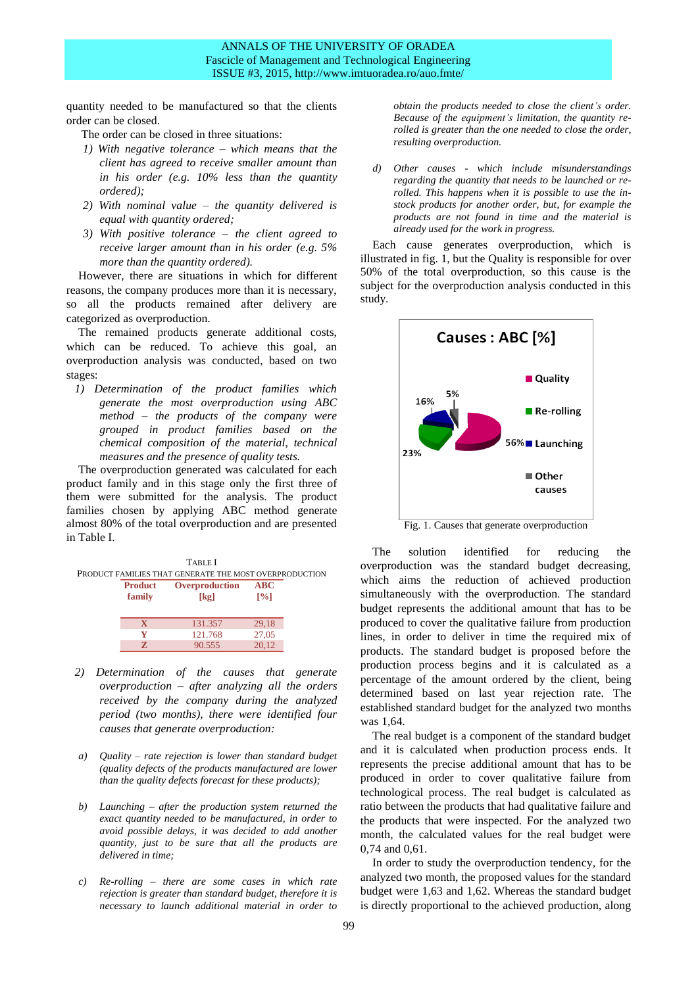quantity needed to be manufactured so that the clients order can be closed.

The order can be closed in three situations:

- *1) With negative tolerance – which means that the client has agreed to receive smaller amount than in his order (e.g. 10% less than the quantity ordered);*
- *2) With nominal value – the quantity delivered is equal with quantity ordered;*
- *3) With positive tolerance – the client agreed to receive larger amount than in his order (e.g. 5% more than the quantity ordered).*

However, there are situations in which for different reasons, the company produces more than it is necessary, so all the products remained after delivery are categorized as overproduction.

The remained products generate additional costs, which can be reduced. To achieve this goal, an overproduction analysis was conducted, based on two stages:

*1) Determination of the product families which generate the most overproduction using ABC method – the products of the company were grouped in product families based on the chemical composition of the material, technical measures and the presence of quality tests.* 

The overproduction generated was calculated for each product family and in this stage only the first three of them were submitted for the analysis. The product families chosen by applying ABC method generate almost 80% of the total overproduction and are presented in Table I.

| <b>TABLE</b> I<br>PRODUCT FAMILIES THAT GENERATE THE MOST OVERPRODUCTION |                          |                        |                                           |  |  |  |  |  |
|--------------------------------------------------------------------------|--------------------------|------------------------|-------------------------------------------|--|--|--|--|--|
|                                                                          | <b>Product</b><br>family | Overproduction<br>[kg] | <b>ABC</b><br>$\lceil \sqrt[9]{6} \rceil$ |  |  |  |  |  |
|                                                                          | x                        | 131.357                | 29,18                                     |  |  |  |  |  |
|                                                                          |                          | 121.768                | 27,05                                     |  |  |  |  |  |
|                                                                          |                          | 90.555                 | 20.12                                     |  |  |  |  |  |

- *2) Determination of the causes that generate overproduction – after analyzing all the orders received by the company during the analyzed period (two months), there were identified four causes that generate overproduction:*
- *a) Quality – rate rejection is lower than standard budget (quality defects of the products manufactured are lower than the quality defects forecast for these products);*
- *b) Launching – after the production system returned the exact quantity needed to be manufactured, in order to avoid possible delays, it was decided to add another quantity, just to be sure that all the products are delivered in time;*
- *c) Re-rolling – there are some cases in which rate rejection is greater than standard budget, therefore it is necessary to launch additional material in order to*

*obtain the products needed to close the client's order. Because of the equipment's limitation, the quantity rerolled is greater than the one needed to close the order, resulting overproduction.*

*d) Other causes - which include misunderstandings regarding the quantity that needs to be launched or rerolled. This happens when it is possible to use the instock products for another order, but, for example the products are not found in time and the material is already used for the work in progress.*

Each cause generates overproduction, which is illustrated in fig. 1, but the Quality is responsible for over 50% of the total overproduction, so this cause is the subject for the overproduction analysis conducted in this study.



Fig. 1. Causes that generate overproduction

The solution identified for reducing the overproduction was the standard budget decreasing, which aims the reduction of achieved production simultaneously with the overproduction. The standard budget represents the additional amount that has to be produced to cover the qualitative failure from production lines, in order to deliver in time the required mix of products. The standard budget is proposed before the production process begins and it is calculated as a percentage of the amount ordered by the client, being determined based on last year rejection rate. The established standard budget for the analyzed two months was 1,64.

The real budget is a component of the standard budget and it is calculated when production process ends. It represents the precise additional amount that has to be produced in order to cover qualitative failure from technological process. The real budget is calculated as ratio between the products that had qualitative failure and the products that were inspected. For the analyzed two month, the calculated values for the real budget were 0,74 and 0,61.

In order to study the overproduction tendency, for the analyzed two month, the proposed values for the standard budget were 1,63 and 1,62. Whereas the standard budget is directly proportional to the achieved production, along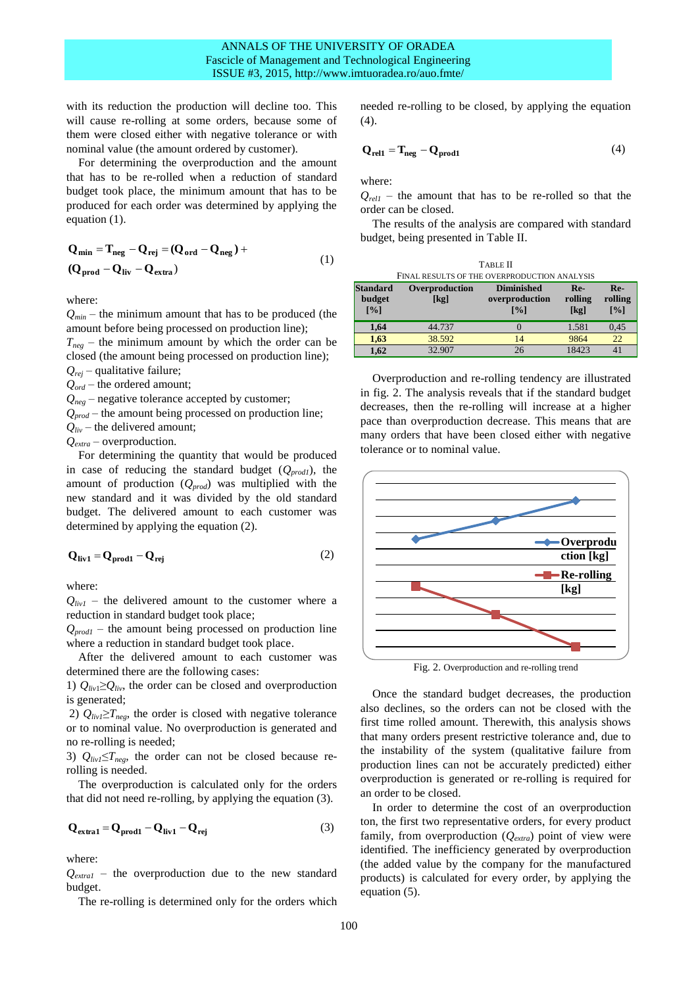with its reduction the production will decline too. This will cause re-rolling at some orders, because some of them were closed either with negative tolerance or with nominal value (the amount ordered by customer).

For determining the overproduction and the amount that has to be re-rolled when a reduction of standard budget took place, the minimum amount that has to be produced for each order was determined by applying the equation (1).

$$
Q_{\min} = T_{\text{neg}} - Q_{\text{rej}} = (Q_{\text{ord}} - Q_{\text{neg}}) +
$$
  
( $Q_{\text{prod}} - Q_{\text{liv}} - Q_{\text{extra}}$ ) (1)

where:

 $Q_{min}$  – the minimum amount that has to be produced (the amount before being processed on production line);  $T_{\text{neg}}$  – the minimum amount by which the order can be closed (the amount being processed on production line); *Qrej* – qualitative failure; *Qord* – the ordered amount;  $Q_{neg}$  – negative tolerance accepted by customer;

*Qprod* – the amount being processed on production line;

 $Q_{div}$  – the delivered amount;

*Qextra* – overproduction.

For determining the quantity that would be produced in case of reducing the standard budget (*Qprod1*), the amount of production (*Qprod*) was multiplied with the new standard and it was divided by the old standard budget. The delivered amount to each customer was determined by applying the equation (2).

$$
Q_{\text{liv1}} = Q_{\text{prod1}} - Q_{\text{rej}} \tag{2}
$$

where:

 $Q_{livl}$  – the delivered amount to the customer where a reduction in standard budget took place;

*Qprod1* – the amount being processed on production line where a reduction in standard budget took place.

After the delivered amount to each customer was determined there are the following cases:

1)  $Q_{div} \geq Q_{div}$ , the order can be closed and overproduction is generated;

2)  $Q_{div} \geq T_{neg}$ , the order is closed with negative tolerance or to nominal value. No overproduction is generated and no re-rolling is needed;

3)  $Q_{livI} \leq T_{neg}$ , the order can not be closed because rerolling is needed.

The overproduction is calculated only for the orders that did not need re-rolling, by applying the equation (3).

$$
Q_{\text{extra1}} = Q_{\text{prod1}} - Q_{\text{liv1}} - Q_{\text{rej}} \tag{3}
$$

where:

*Qextra1* – the overproduction due to the new standard budget.

The re-rolling is determined only for the orders which

needed re-rolling to be closed, by applying the equation  $(4)$ .

$$
\mathbf{Q}_{\text{rel1}} = \mathbf{T}_{\text{neg}} - \mathbf{Q}_{\text{prod}}
$$
(4)

where:

 $Q_{\text{rel1}}$  – the amount that has to be re-rolled so that the order can be closed.

The results of the analysis are compared with standard budget, being presented in Table II.

TABLE II

| FINAL RESULTS OF THE OVERPRODUCTION ANALYSIS |                        |                                                          |                          |                         |  |  |  |  |
|----------------------------------------------|------------------------|----------------------------------------------------------|--------------------------|-------------------------|--|--|--|--|
| <b>Standard</b><br>budget<br>[%]             | Overproduction<br>[kg] | <b>Diminished</b><br>overproduction<br>$\lceil\% \rceil$ | $Re-$<br>rolling<br>[kg] | $Re-$<br>rolling<br>[%] |  |  |  |  |
| 1,64                                         | 44.737                 |                                                          | 1.581                    | 0,45                    |  |  |  |  |
| 1,63                                         | 38.592                 | 14                                                       | 9864                     | 22                      |  |  |  |  |
| 1,62                                         | 32.907                 | 26                                                       | 18423                    | 41                      |  |  |  |  |

Overproduction and re-rolling tendency are illustrated in fig. 2. The analysis reveals that if the standard budget decreases, then the re-rolling will increase at a higher pace than overproduction decrease. This means that are many orders that have been closed either with negative tolerance or to nominal value.



Fig. 2. Overproduction and re-rolling trend

Once the standard budget decreases, the production also declines, so the orders can not be closed with the first time rolled amount. Therewith, this analysis shows that many orders present restrictive tolerance and, due to the instability of the system (qualitative failure from production lines can not be accurately predicted) either overproduction is generated or re-rolling is required for an order to be closed.

In order to determine the cost of an overproduction ton, the first two representative orders, for every product family, from overproduction (*Qextra*) point of view were identified. The inefficiency generated by overproduction (the added value by the company for the manufactured products) is calculated for every order, by applying the equation (5).